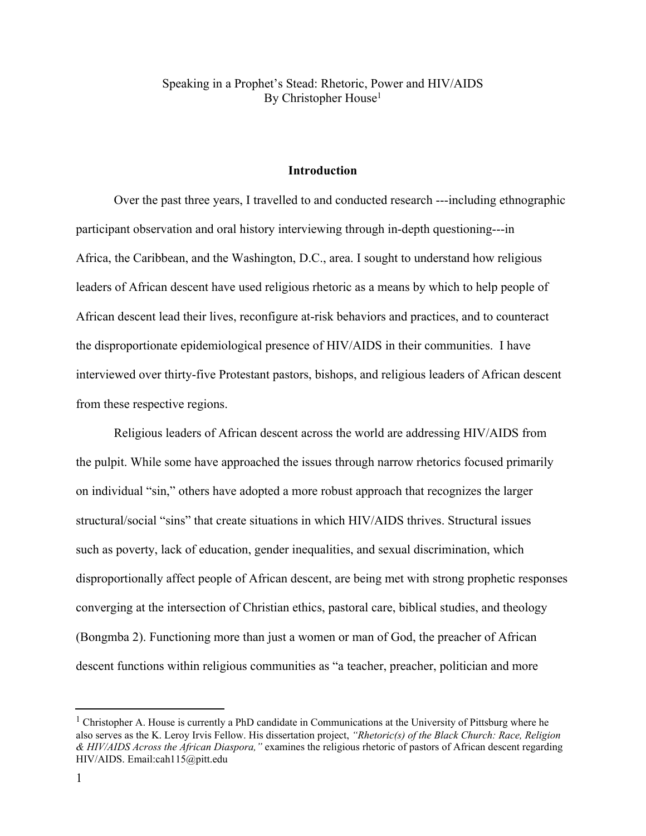Speaking in a Prophet's Stead: Rhetoric, Power and HIV/AIDS By Christopher House 1

## **Introduction**

Over the past three years, I travelled to and conducted research ---including ethnographic participant observation and oral history interviewing through in-depth questioning---in Africa, the Caribbean, and the Washington, D.C., area. I sought to understand how religious leaders of African descent have used religious rhetoric as a means by which to help people of African descent lead their lives, reconfigure at-risk behaviors and practices, and to counteract the disproportionate epidemiological presence of HIV/AIDS in their communities. I have interviewed over thirty-five Protestant pastors, bishops, and religious leaders of African descent from these respective regions.

Religious leaders of African descent across the world are addressing HIV/AIDS from the pulpit. While some have approached the issues through narrow rhetorics focused primarily on individual "sin," others have adopted a more robust approach that recognizes the larger structural/social "sins" that create situations in which HIV/AIDS thrives. Structural issues such as poverty, lack of education, gender inequalities, and sexual discrimination, which disproportionally affect people of African descent, are being met with strong prophetic responses converging at the intersection of Christian ethics, pastoral care, biblical studies, and theology (Bongmba 2). Functioning more than just a women or man of God, the preacher of African descent functions within religious communities as "a teacher, preacher, politician and more

<sup>&</sup>lt;sup>1</sup> Christopher A. House is currently a PhD candidate in Communications at the University of Pittsburg where he also serves as the K. Leroy Irvis Fellow. His dissertation project, *"Rhetoric(s) of the Black Church: Race, Religion & HIV/AIDS Across the African Diaspora,"* examines the religious rhetoric of pastors of African descent regarding HIV/AIDS. Email:cah115@pitt.edu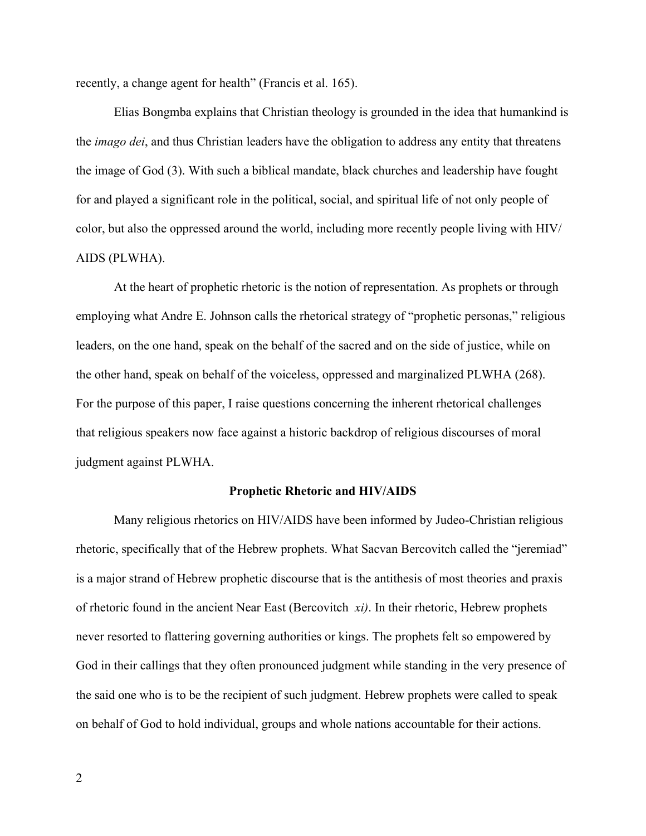recently, a change agent for health" (Francis et al. 165).

Elias Bongmba explains that Christian theology is grounded in the idea that humankind is the *imago dei*, and thus Christian leaders have the obligation to address any entity that threatens the image of God (3). With such a biblical mandate, black churches and leadership have fought for and played a significant role in the political, social, and spiritual life of not only people of color, but also the oppressed around the world, including more recently people living with HIV/ AIDS (PLWHA).

At the heart of prophetic rhetoric is the notion of representation. As prophets or through employing what Andre E. Johnson calls the rhetorical strategy of "prophetic personas," religious leaders, on the one hand, speak on the behalf of the sacred and on the side of justice, while on the other hand, speak on behalf of the voiceless, oppressed and marginalized PLWHA (268). For the purpose of this paper, I raise questions concerning the inherent rhetorical challenges that religious speakers now face against a historic backdrop of religious discourses of moral judgment against PLWHA.

## **Prophetic Rhetoric and HIV/AIDS**

Many religious rhetorics on HIV/AIDS have been informed by Judeo-Christian religious rhetoric, specifically that of the Hebrew prophets. What Sacvan Bercovitch called the "jeremiad" is a major strand of Hebrew prophetic discourse that is the antithesis of most theories and praxis of rhetoric found in the ancient Near East (Bercovitch *xi)*. In their rhetoric, Hebrew prophets never resorted to flattering governing authorities or kings. The prophets felt so empowered by God in their callings that they often pronounced judgment while standing in the very presence of the said one who is to be the recipient of such judgment. Hebrew prophets were called to speak on behalf of God to hold individual, groups and whole nations accountable for their actions.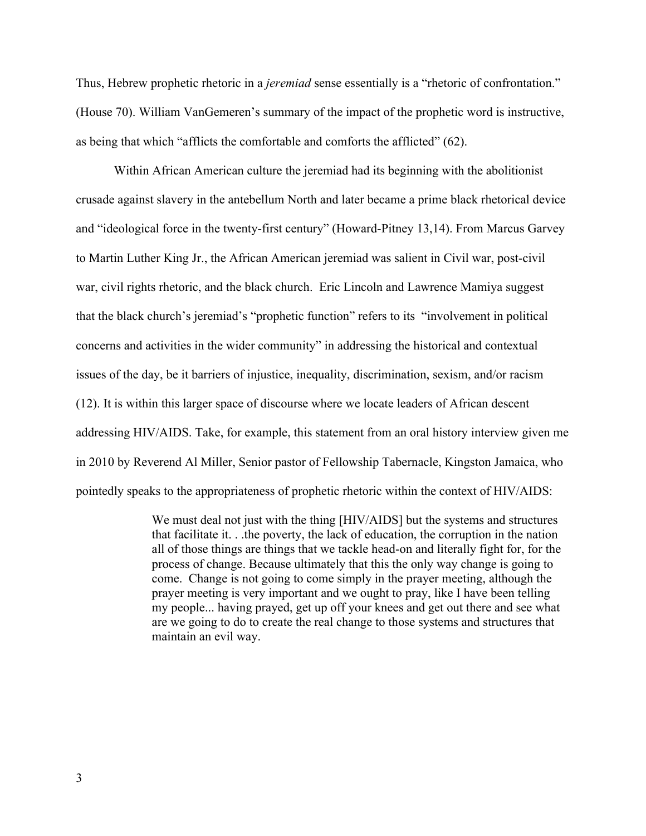Thus, Hebrew prophetic rhetoric in a *jeremiad* sense essentially is a "rhetoric of confrontation." (House 70). William VanGemeren's summary of the impact of the prophetic word is instructive, as being that which "afflicts the comfortable and comforts the afflicted" (62).

Within African American culture the jeremiad had its beginning with the abolitionist crusade against slavery in the antebellum North and later became a prime black rhetorical device and "ideological force in the twenty-first century" (Howard-Pitney 13,14). From Marcus Garvey to Martin Luther King Jr., the African American jeremiad was salient in Civil war, post-civil war, civil rights rhetoric, and the black church. Eric Lincoln and Lawrence Mamiya suggest that the black church's jeremiad's "prophetic function" refers to its "involvement in political concerns and activities in the wider community" in addressing the historical and contextual issues of the day, be it barriers of injustice, inequality, discrimination, sexism, and/or racism (12). It is within this larger space of discourse where we locate leaders of African descent addressing HIV/AIDS. Take, for example, this statement from an oral history interview given me in 2010 by Reverend Al Miller, Senior pastor of Fellowship Tabernacle, Kingston Jamaica, who pointedly speaks to the appropriateness of prophetic rhetoric within the context of HIV/AIDS:

> We must deal not just with the thing [HIV/AIDS] but the systems and structures that facilitate it. . .the poverty, the lack of education, the corruption in the nation all of those things are things that we tackle head-on and literally fight for, for the process of change. Because ultimately that this the only way change is going to come. Change is not going to come simply in the prayer meeting, although the prayer meeting is very important and we ought to pray, like I have been telling my people... having prayed, get up off your knees and get out there and see what are we going to do to create the real change to those systems and structures that maintain an evil way.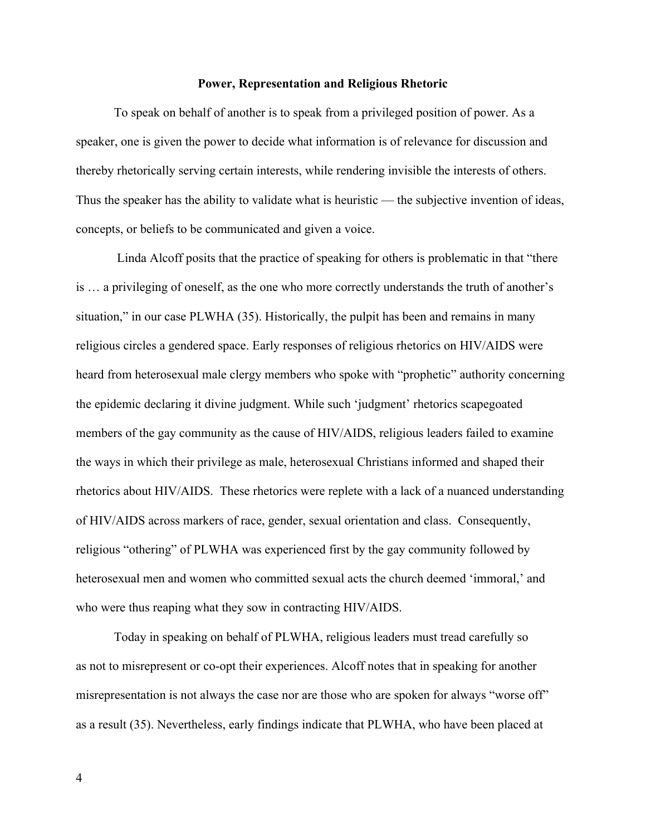## **Power, Representation and Religious Rhetoric**

To speak on behalf of another is to speak from a privileged position of power. As a speaker, one is given the power to decide what information is of relevance for discussion and thereby rhetorically serving certain interests, while rendering invisible the interests of others. Thus the speaker has the ability to validate what is heuristic — the subjective invention of ideas, concepts, or beliefs to be communicated and given a voice.

Linda Alcoff posits that the practice of speaking for others is problematic in that "there is … a privileging of oneself, as the one who more correctly understands the truth of another's situation," in our case PLWHA (35). Historically, the pulpit has been and remains in many religious circles a gendered space. Early responses of religious rhetorics on HIV/AIDS were heard from heterosexual male clergy members who spoke with "prophetic" authority concerning the epidemic declaring it divine judgment. While such 'judgment' rhetorics scapegoated members of the gay community as the cause of HIV/AIDS, religious leaders failed to examine the ways in which their privilege as male, heterosexual Christians informed and shaped their rhetorics about HIV/AIDS. These rhetorics were replete with a lack of a nuanced understanding of HIV/AIDS across markers of race, gender, sexual orientation and class. Consequently, religious "othering" of PLWHA was experienced first by the gay community followed by heterosexual men and women who committed sexual acts the church deemed 'immoral,' and who were thus reaping what they sow in contracting HIV/AIDS.

Today in speaking on behalf of PLWHA, religious leaders must tread carefully so as not to misrepresent or co-opt their experiences. Alcoff notes that in speaking for another misrepresentation is not always the case nor are those who are spoken for always "worse off" as a result (35). Nevertheless, early findings indicate that PLWHA, who have been placed at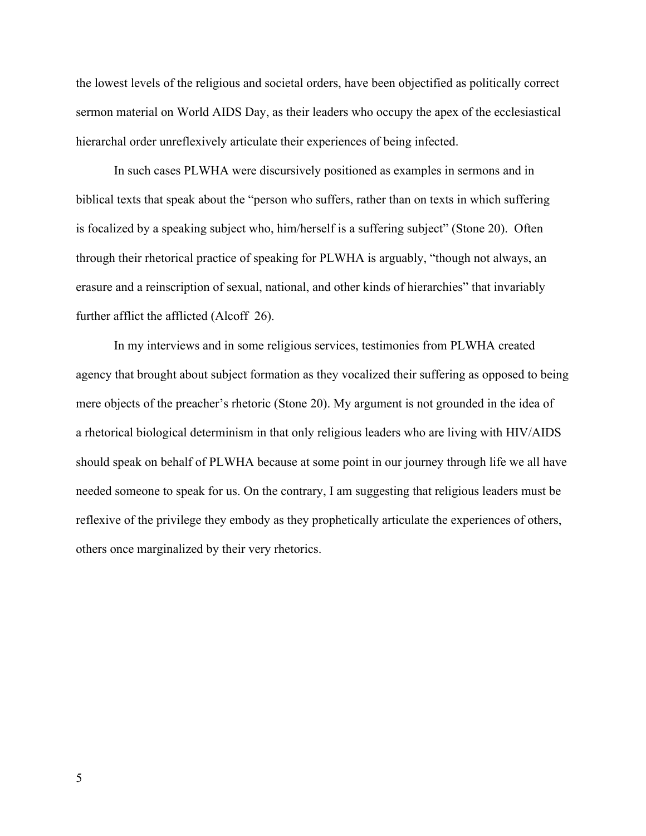the lowest levels of the religious and societal orders, have been objectified as politically correct sermon material on World AIDS Day, as their leaders who occupy the apex of the ecclesiastical hierarchal order unreflexively articulate their experiences of being infected.

In such cases PLWHA were discursively positioned as examples in sermons and in biblical texts that speak about the "person who suffers, rather than on texts in which suffering is focalized by a speaking subject who, him/herself is a suffering subject" (Stone 20). Often through their rhetorical practice of speaking for PLWHA is arguably, "though not always, an erasure and a reinscription of sexual, national, and other kinds of hierarchies" that invariably further afflict the afflicted (Alcoff 26).

In my interviews and in some religious services, testimonies from PLWHA created agency that brought about subject formation as they vocalized their suffering as opposed to being mere objects of the preacher's rhetoric (Stone 20). My argument is not grounded in the idea of a rhetorical biological determinism in that only religious leaders who are living with HIV/AIDS should speak on behalf of PLWHA because at some point in our journey through life we all have needed someone to speak for us. On the contrary, I am suggesting that religious leaders must be reflexive of the privilege they embody as they prophetically articulate the experiences of others, others once marginalized by their very rhetorics.